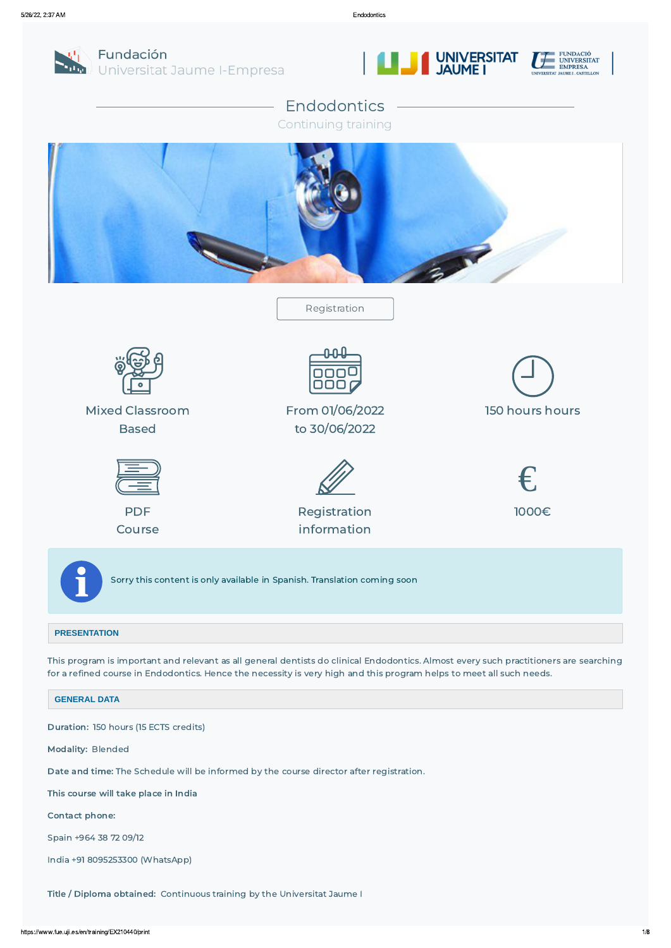

Fundación Universitat Jaume I-Empresa





# Endodontics

Continuing training



### **PRESENTATION**

This program is important and relevant as all general dentists do clinical Endodontics. Almost every such practitioners are searching for a refined course in Endodontics. Hence the necessity is very high and this program helps to meet all such needs.

**GENERAL DATA**

#### Duration: 150 hours (15 ECTS credits)

Modality: Blended

Date and time: The Schedule will be informed by the course director after registration.

This course will take place in India

Contact phone:

Spain +964 38 72 09/12

India +91 8095253300 (WhatsApp)

Title / Diploma obtained: Continuous training by the Universitat Jaume I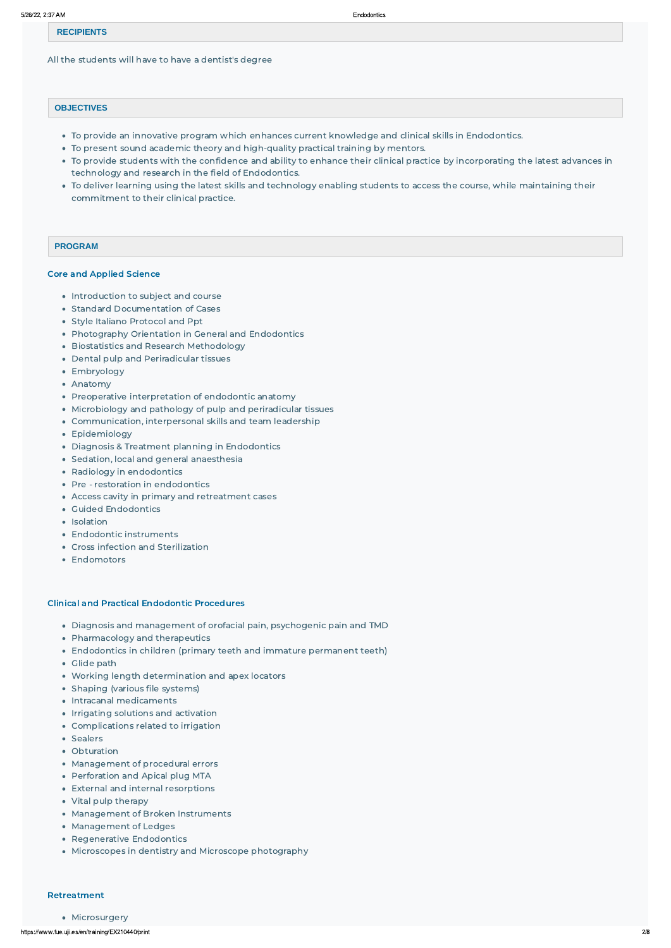#### **RECIPIENTS**

All the students will have to have a dentist's degree

#### **OBJECTIVES**

- To provide an innovative program which enhances current knowledge and clinical skills in Endodontics.
- To present sound academic theory and high-quality practical training by mentors.
- To provide students with the confidence and ability to enhance their clinical practice by incorporating the latest advances in technology and research in the field of Endodontics.
- To deliver learning using the latest skills and technology enabling students to access the course, while maintaining their commitment to their clinical practice.

#### **PROGRAM**

#### Core and Applied Science

- Introduction to subject and course
- Standard Documentation of Cases
- Style Italiano Protocol and Ppt
- Photography Orientation in General and Endodontics
- **Biostatistics and Research Methodology**
- Dental pulp and Periradicular tissues
- Embryology
- Anatomy
- Preoperative interpretation of endodontic anatomy
- Microbiology and pathology of pulp and periradicular tissues
- Communication, interpersonal skills and team leadership
- Epidemiology
- Diagnosis & Treatment planning in Endodontics
- Sedation, local and general anaesthesia
- Radiology in endodontics
- Pre restoration in endodontics
- Access cavity in primary and retreatment cases
- Guided Endodontics
- Isolation
- Endodontic instruments
- Cross infection and Sterilization
- Endomotors

#### Clinical and Practical Endodontic Procedures

- Diagnosis and management of orofacial pain, psychogenic pain and TMD
- Pharmacology and therapeutics
- Endodontics in children (primary teeth and immature permanent teeth)
- Glide path
- Working length determination and apex locators
- Shaping (various file systems)
- Intracanal medicaments
- Irrigating solutions and activation
- 
- Complications related to irrigation
- Sealers
- Obturation
- Management of procedural errors
- Perforation and Apical plug MTA
- External and internal resorptions
- Vital pulp therapy
- Management of Broken Instruments
- Management of Ledges
- Regenerative Endodontics
- Microscopes in dentistry and Microscope photography

#### Retreatment

#### • Microsurgery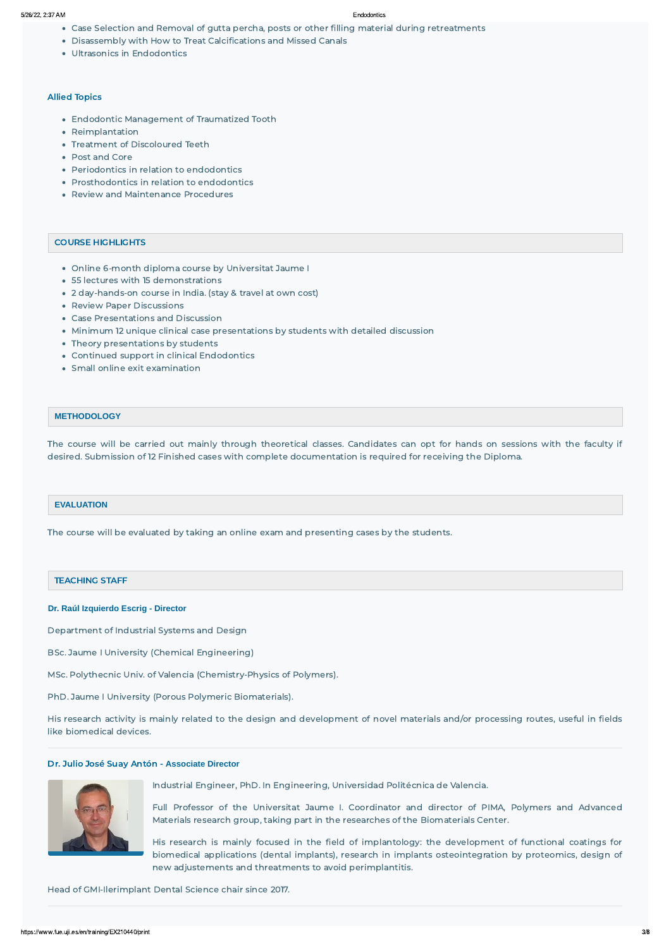- Case Selection and Removal of gutta percha, posts or other filling material during retreatments
- Disassembly with How to Treat Calcifications and Missed Canals
- Ultrasonics in Endodontics

- Online 6-month diploma course by Universitat Jaume I
- 55 lectures with 15 demonstrations
- 2 day-hands-on course in India. (stay & travel at own cost)
- Review Paper Discussions
- Case Presentations and Discussion
- Minimum 12 unique clinical case presentations by students with detailed discussion
- Theory presentations by students
- Continued support in clinical Endodontics
- Small online exit examination

#### Allied Topics

- Endodontic Management of Traumatized Tooth
- Reimplantation
- Treatment of Discoloured Teeth
- Post and Core
- Periodontics in relation to endodontics
- Prosthodontics in relation to endodontics
- Review and Maintenance Procedures

#### COURSE HIGHLIGHTS

#### **METHODOLOGY**

The course will be carried out mainly through theoretical classes. Candidates can opt for hands on sessions with the faculty if desired. Submission of 12 Finished cases with complete documentation is required for receiving the Diploma.

#### **EVALUATION**

The course will be evaluated by taking an online exam and presenting cases by the students.

#### TEACHING STAFF

#### **Dr. Raúl Izquierdo Escrig - Director**

Department of Industrial Systems and Design

BSc. Jaume I University (Chemical Engineering)

MSc. Polythecnic Univ. of Valencia (Chemistry-Physics of Polymers).

PhD. Jaume I University (Porous Polymeric Biomaterials).

His research activity is mainly related to the design and development of novel materials and/or processing routes, useful in fields like biomedical devices.

#### Dr. Julio José Suay Antón - **Associate Director**



Industrial Engineer, PhD. In Engineering, Universidad Politécnica de Valencia.

Full Professor of the Universitat Jaume I. Coordinator and director of PIMA, Polymers and Advanced Materials research group, taking part in the researches of the Biomaterials Center.

His research is mainly focused in the field of implantology: the development of functional coatings for biomedical applications (dental implants), research in implants osteointegration by proteomics, design of new adjustements and threatments to avoid perimplantitis.

#### Head of GMI-Ilerimplant Dental Science chair since 2017.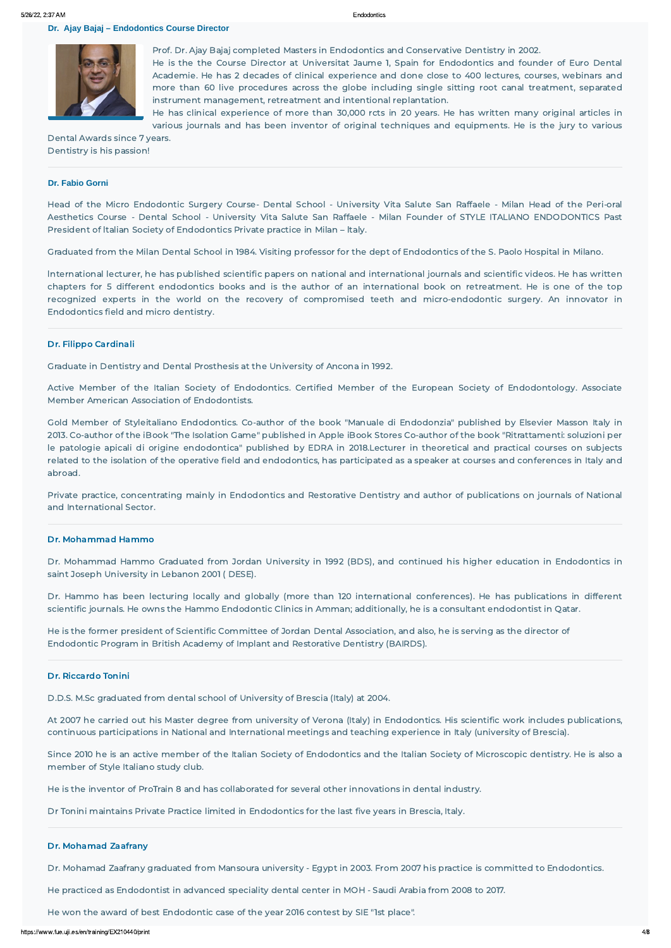**Dr. Ajay Bajaj – Endodontics Course Director** 



Prof. Dr. Ajay Bajaj completed Masters in Endodontics and Conservative Dentistry in 2002. He is the the Course Director at Universitat Jaume 1, Spain for Endodontics and founder of Euro Dental Academie. He has 2 decades of clinical experience and done close to 400 lectures, courses, webinars and more than 60 live procedures across the globe including single sitting root canal treatment, separated instrument management, retreatment and intentional replantation.

He has clinical experience of more than 30,000 rcts in 20 years. He has written many original articles in various journals and has been inventor of original techniques and equipments. He is the jury to various

Dental Awards since 7 years. Dentistry is his passion!

#### **Dr. Fabio Gorni**

Head of the Micro Endodontic Surgery Course- Dental School - University Vita Salute San Raffaele - Milan Head of the Peri-oral Aesthetics Course - Dental School - University Vita Salute San Raffaele - Milan Founder of STYLE ITALIANO ENDODONTICS Past President of ltalian Society of Endodontics Private practice in Milan – ltaly.

Graduated from the Milan Dental School in 1984. Visiting professor for the dept of Endodontics of the S. Paolo Hospital in Milano.

lnternational lecturer, he has published scientific papers on national and international journals and scientific videos. He has written chapters for 5 different endodontics books and is the author of an international book on retreatment. He is one of the top recognized experts in the world on the recovery of compromised teeth and micro-endodontic surgery. An innovator in Endodontics field and micro dentistry.

#### Dr. Filippo Cardinali

Graduate in Dentistry and Dental Prosthesis at the University of Ancona in 1992.

Active Member of the Italian Society of Endodontics. Certified Member of the European Society of Endodontology. Associate Member American Association of Endodontists.

Gold Member of Styleitaliano Endodontics. Co-author of the book "Manuale di Endodonzia" published by Elsevier Masson Italy in 2013. Co-author of the iBook "The Isolation Game" published in Apple iBook Stores Co-author of the book "Ritrattamenti: soluzioni per le patologie apicali di origine endodontica" published by EDRA in 2018.Lecturer in theoretical and practical courses on subjects related to the isolation of the operative field and endodontics, has participated as a speaker at courses and conferences in Italy and abroad.

Private practice, concentrating mainly in Endodontics and Restorative Dentistry and author of publications on journals of National and International Sector.

#### Dr. Mohammad Hammo

Dr. Mohammad Hammo Graduated from Jordan University in 1992 (BDS), and continued his higher education in Endodontics in saint Joseph University in Lebanon 2001 ( DESE).

Dr. Hammo has been lecturing locally and globally (more than 120 international conferences). He has publications in different scientific journals. He owns the Hammo Endodontic Clinics in Amman; additionally, he is a consultant endodontist in Qatar.

He is the former president of Scientific Committee of Jordan Dental Association, and also, he is serving as the director of Endodontic Program in British Academy of Implant and Restorative Dentistry (BAIRDS).

#### Dr. Riccardo Tonini

D.D.S. M.Sc graduated from dental school of University of Brescia (Italy) at 2004.

At 2007 he carried out his Master degree from university of Verona (Italy) in Endodontics. His scientific work includes publications, continuous participations in National and International meetings and teaching experience in Italy (university of Brescia).

Since 2010 he is an active member of the Italian Society of Endodontics and the Italian Society of Microscopic dentistry. He is also a member of Style Italiano study club.

He is the inventor of ProTrain 8 and has collaborated for several other innovations in dental industry.

Dr Tonini maintains Private Practice limited in Endodontics for the last five years in Brescia, Italy.

#### Dr. Mohamad Zaafrany

Dr. Mohamad Zaafrany graduated from Mansoura university - Egypt in 2003. From 2007 his practice is committed to Endodontics.

He practiced as Endodontist in advanced speciality dental center in MOH - Saudi Arabia from 2008 to 2017.

He won the award of best Endodontic case of the year 2016 contest by SIE "1st place".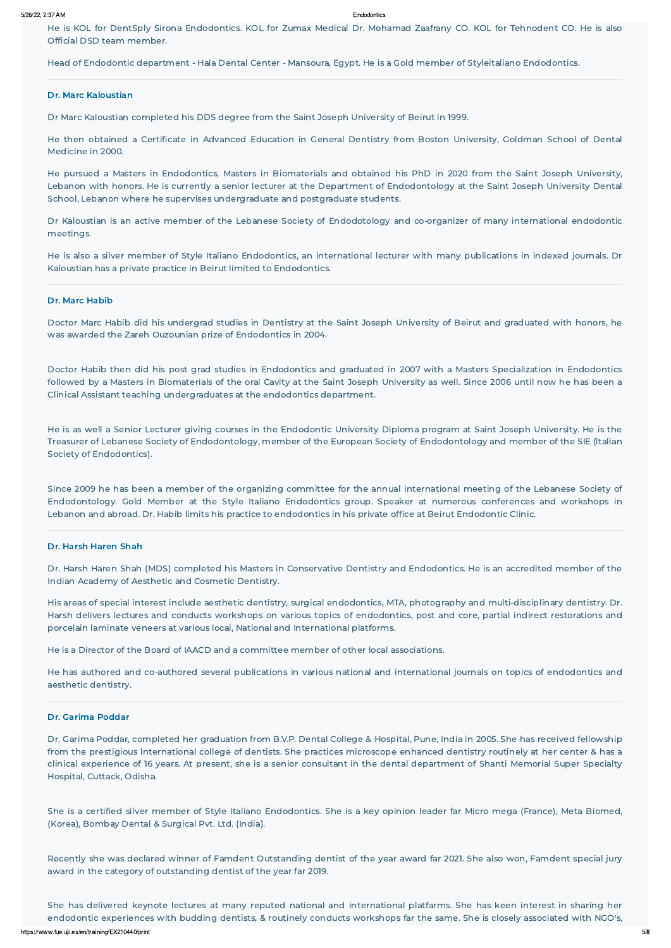He is KOL for DentSply Sirona Endodontics. KOL for Zumax Medical Dr. Mohamad Zaafrany CO. KOL for Tehnodent CO. He is also Official DSD team member.

Head of Endodontic department - Hala Dental Center - Mansoura, Egypt. He is a Gold member of Styleitaliano Endodontics.

#### Dr. Marc Kaloustian

Dr Marc Kaloustian completed his DDS degree from the Saint Joseph University of Beirut in 1999.

He then obtained a Certificate in Advanced Education in General Dentistry from Boston University, Goldman School of Dental Medicine in 2000.

He pursued a Masters in Endodontics, Masters in Biomaterials and obtained his PhD in 2020 from the Saint Joseph University, Lebanon with honors. He is currently a senior lecturer at the Department of Endodontology at the Saint Joseph University Dental School, Lebanon where he supervises undergraduate and postgraduate students.

Dr Kaloustian is an active member of the Lebanese Society of Endodotology and co-organizer of many international endodontic meetings.

He is also a silver member of Style Italiano Endodontics, an international lecturer with many publications in indexed journals. Dr Kaloustian has a private practice in Beirut limited to Endodontics.

#### Dr. Marc Habib

Doctor Marc Habib did his undergrad studies in Dentistry at the Saint Joseph University of Beirut and graduated with honors, he was awarded the Zareh Ouzounian prize of Endodontics in 2004.

Doctor Habib then did his post grad studies in Endodontics and graduated in 2007 with a Masters Specialization in Endodontics followed by a Masters in Biomaterials of the oral Cavity at the Saint Joseph University as well. Since 2006 until now he has been a Clinical Assistant teaching undergraduates at the endodontics department.

He is as well a Senior Lecturer giving courses in the Endodontic University Diploma program at Saint Joseph University. He is the Treasurer of Lebanese Society of Endodontology, member of the European Society of Endodontology and member of the SIE (ltalian Society of Endodontics).

https://www.fue.uji.es/en/training/EX210440/print 5/8 She has delivered keynote lectures at many reputed national and international platfarms. She has keen interest in sharing her endodontic experiences with budding dentists, & routinely conducts workshops far the same. She is closely associated with NGO's,

Since 2009 he has been a member of the organizing committee for the annual international meeting of the Lebanese Society of Endodontology. Gold Member at the Style Italiano Endodontics group. Speaker at numerous conferences and workshops in Lebanon and abroad. Dr. Habib limits his practice to endodontics in his private office at Beirut Endodontic Clinic.

#### Dr. Harsh Haren Shah

Dr. Harsh Haren Shah (MDS) completed his Masters in Conservative Dentistry and Endodontics. He is an accredited member of the Indian Academy of Aesthetic and Cosmetic Dentistry.

His areas of special interest include aesthetic dentistry, surgical endodontics, MTA, photography and multi-disciplinary dentistry. Dr. Harsh delivers lectures and conducts workshops on various topics of endodontics, post and core, partial indirect restorations and porcelain laminate veneers at various local, National and International platforms.

He is a Director of the Board of IAACD and a committee member of other local associations.

He has authored and co-authored several publications in various national and international journals on topics of endodontics and aesthetic dentistry.

#### Dr. Garima Poddar

Dr. Garima Poddar, completed her graduation from B.V.P. Dental College & Hospital, Pune, India in 2005. She has received fellowship from the prestigious lnternational college of dentists. She practices microscope enhanced dentistry routinely at her center & has a clinical experience of 16 years. At present, she is a senior consultant in the dental department of Shanti Memorial Super Specialty Hospital, Cuttack, Odisha.

She is a certified silver member of Style Italiano Endodontics. She is a key opinion leader far Micro mega (France), Meta Biomed, (Korea), Bombay Dental & Surgical Pvt. Ltd. (India).

Recently she was declared winner of Famdent Outstanding dentist of the year award far 2021. She also won, Famdent special jury award in the category of outstanding dentist of the year far 2019.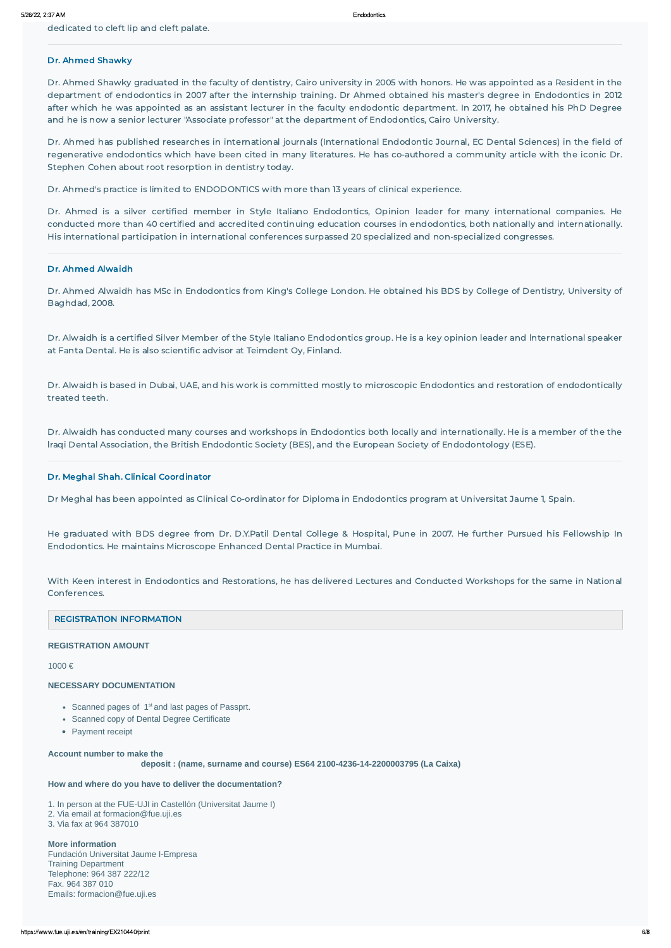dedicated to cleft lip and cleft palate.

### Dr. Ahmed Shawky

Dr. Ahmed Shawky graduated in the faculty of dentistry, Cairo university in 2005 with honors. He was appointed as a Resident in the department of endodontics in 2007 after the internship training. Dr Ahmed obtained his master's degree in Endodontics in 2012 after which he was appointed as an assistant lecturer in the faculty endodontic department. In 2017, he obtained his PhD Degree and he is now a senior lecturer "Associate professor" at the department of Endodontics, Cairo University.

Dr. Ahmed has published researches in international journals (International Endodontic Journal, EC Dental Sciences) in the field of regenerative endodontics which have been cited in many literatures. He has co-authored a community article with the iconic Dr. Stephen Cohen about root resorption in dentistry today.

Dr. Ahmed's practice is limited to ENDODONTICS with more than 13 years of clinical experience.

Dr. Ahmed is a silver certified member in Style Italiano Endodontics, Opinion leader for many international companies. He conducted more than 40 certified and accredited continuing education courses in endodontics, both nationally and internationally. His international participation in international conferences surpassed 20 specialized and non-specialized congresses.

#### Dr. Ahmed Alwaidh

Dr. Ahmed Alwaidh has MSc in Endodontics from King's College London. He obtained his BDS by College of Dentistry, University of Baghdad, 2008.

Dr. Alwaidh is a certified Silver Member of the Style Italiano Endodontics group. He is a key opinion leader and lnternational speaker at Fanta Dental. He is also scientific advisor at Teimdent Oy, Finland.

Dr. Alwaidh is based in Dubai, UAE, and his work is committed mostly to microscopic Endodontics and restoration of endodontically treated teeth.

Dr. Alwaidh has conducted many courses and workshops in Endodontics both locally and internationally. He is a member of the the lraqi Dental Association, the British Endodontic Society (BES), and the European Society of Endodontology (ESE).

#### Dr. Meghal Shah. Clinical Coordinator

Dr Meghal has been appointed as Clinical Co-ordinator for Diploma in Endodontics program at Universitat Jaume 1, Spain.

He graduated with BDS degree from Dr. D.Y.Patil Dental College & Hospital, Pune in 2007. He further Pursued his Fellowship In Endodontics. He maintains Microscope Enhanced Dental Practice in Mumbai.

With Keen interest in Endodontics and Restorations, he has delivered Lectures and Conducted Workshops for the same in National Conferences.

#### REGISTRATION INFORMATION

#### **REGISTRATION AMOUNT**

1000 €

#### **NECESSARY DOCUMENTATION**

- Scanned pages of  $1<sup>st</sup>$  and last pages of Passprt.
- Scanned copy of Dental Degree Certificate
- Payment receipt

**Account number to make the**

 **deposit : (name, surname and course) ES64 2100-4236-14-2200003795 (La Caixa)**

**How and where do you have to deliver the documentation?**

1. In person at the FUE-UJI in Castellón (Universitat Jaume I) 2. Via email at formacion@fue.uji.es 3. Via fax at 964 387010

**More information** Fundación Universitat Jaume I-Empresa Training Department Telephone: 964 387 222/12 Fax. 964 387 010 Emails: formacion@fue.uji.es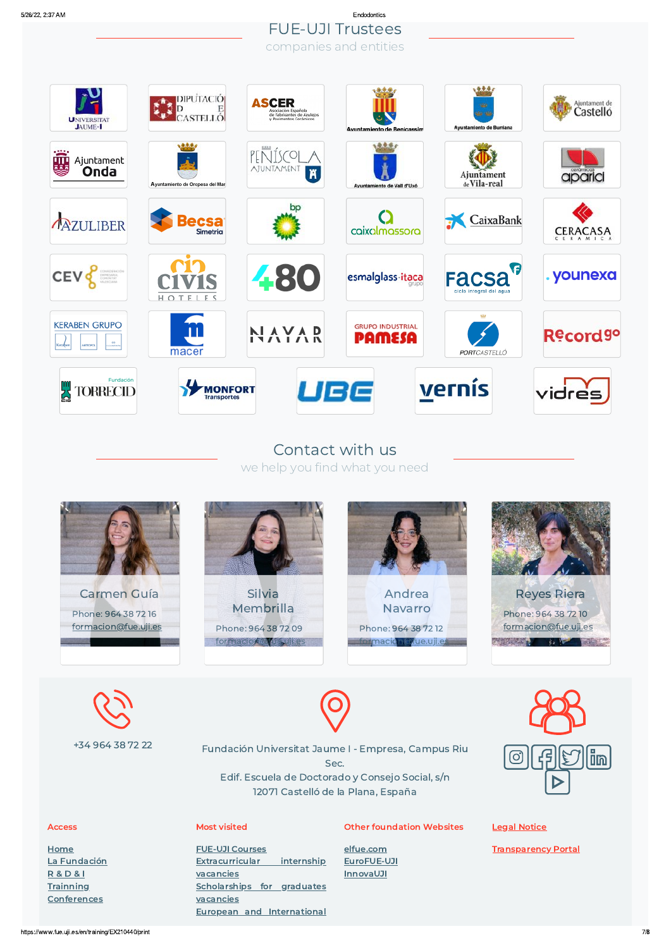## 5/26/22, 2:37 AM Endodontics FUE-UJI Trustees companies and entities



# Contact with us we help you find what you need









| +34 964 38 72 22 |                      | Fundación Universitat Jaume I - Empresa, Campus Riu<br>Sec.<br>Edif. Escuela de Doctorado y Consejo Social, s/n<br>12071 Castelló de la Plana, España |                                  |                            |  |
|------------------|----------------------|-------------------------------------------------------------------------------------------------------------------------------------------------------|----------------------------------|----------------------------|--|
|                  | <b>Access</b>        | <b>Most visited</b>                                                                                                                                   | <b>Other foundation Websites</b> | <b>Legal Notice</b>        |  |
|                  | Home                 | <b>FUE-UJI Courses</b>                                                                                                                                | elfue.com                        | <b>Transparency Portal</b> |  |
|                  | La Fundación         | <b>Extracurricular</b><br>internship                                                                                                                  | EuroFUE-UJI                      |                            |  |
|                  | <b>R&amp;D&amp;I</b> | vacancies                                                                                                                                             | <b>InnovaUJI</b>                 |                            |  |
|                  | <b>Trainning</b>     | <b>Scholarships for graduates</b>                                                                                                                     |                                  |                            |  |
|                  | <b>Conferences</b>   | vacancies                                                                                                                                             |                                  |                            |  |

European and [International](http://www.eurofue.com/proyectos/)